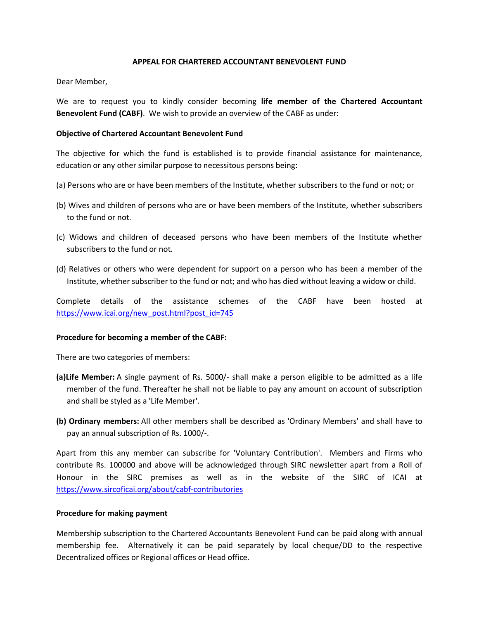## **APPEAL FOR CHARTERED ACCOUNTANT BENEVOLENT FUND**

Dear Member,

We are to request you to kindly consider becoming **life member of the Chartered Accountant Benevolent Fund (CABF)**. We wish to provide an overview of the CABF as under:

## **Objective of Chartered Accountant Benevolent Fund**

The objective for which the fund is established is to provide financial assistance for maintenance, education or any other similar purpose to necessitous persons being:

- (a) Persons who are or have been members of the Institute, whether subscribers to the fund or not; or
- (b) Wives and children of persons who are or have been members of the Institute, whether subscribers to the fund or not.
- (c) Widows and children of deceased persons who have been members of the Institute whether subscribers to the fund or not.
- (d) Relatives or others who were dependent for support on a person who has been a member of the Institute, whether subscriber to the fund or not; and who has died without leaving a widow or child.

Complete details of the assistance schemes of the CABF have been hosted at https://www.icai.org/new\_post.html?post\_id=745

#### **Procedure for becoming a member of the CABF:**

There are two categories of members:

- **(a)Life Member:** A single payment of Rs. 5000/- shall make a person eligible to be admitted as a life member of the fund. Thereafter he shall not be liable to pay any amount on account of subscription and shall be styled as a 'Life Member'.
- **(b) Ordinary members:** All other members shall be described as 'Ordinary Members' and shall have to pay an annual subscription of Rs. 1000/-.

Apart from this any member can subscribe for 'Voluntary Contribution'. Members and Firms who contribute Rs. 100000 and above will be acknowledged through SIRC newsletter apart from a Roll of Honour in the SIRC premises as well as in the website of the SIRC of ICAI at https://www.sircoficai.org/about/cabf-contributories

#### **Procedure for making payment**

Membership subscription to the Chartered Accountants Benevolent Fund can be paid along with annual membership fee. Alternatively it can be paid separately by local cheque/DD to the respective Decentralized offices or Regional offices or Head office.